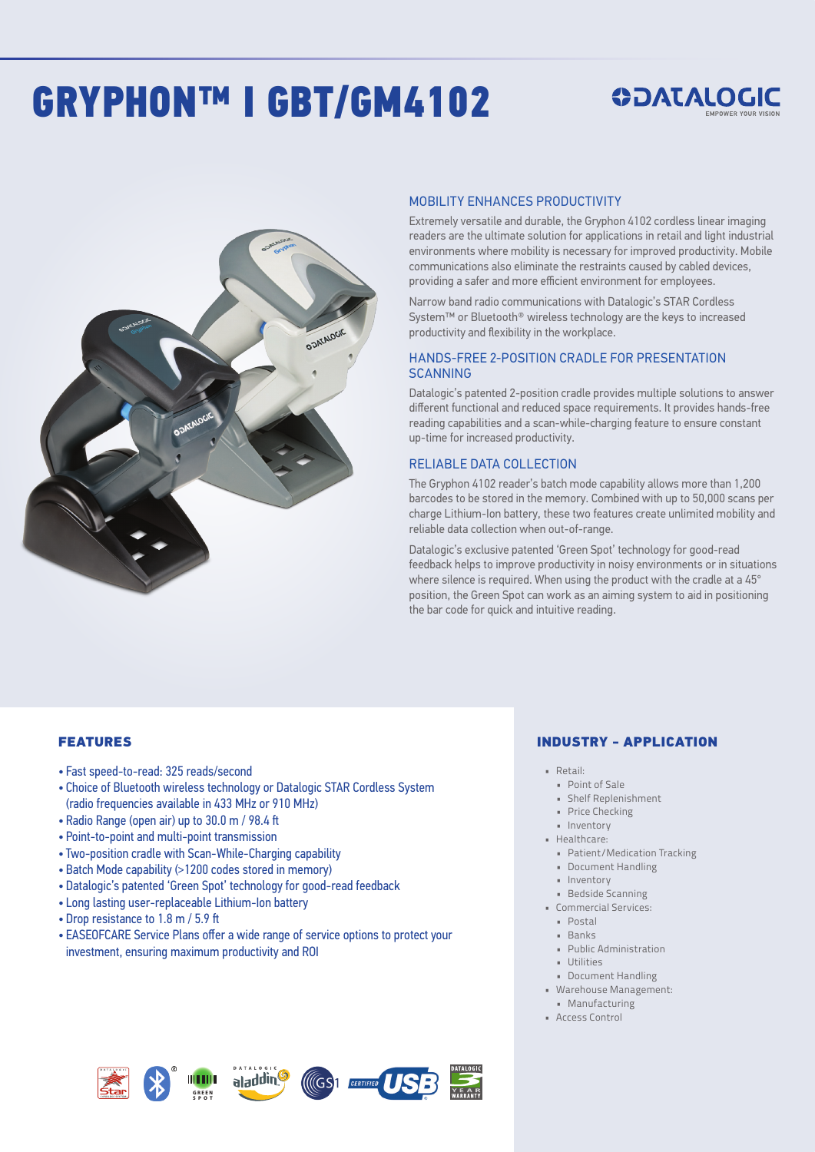# GRYPHON™ I GBT/GM4102

## *SOATALOGIC*



#### MOBILITY ENHANCES PRODUCTIVITY

Extremely versatile and durable, the Gryphon 4102 cordless linear imaging readers are the ultimate solution for applications in retail and light industrial environments where mobility is necessary for improved productivity. Mobile communications also eliminate the restraints caused by cabled devices, providing a safer and more efficient environment for employees.

Narrow band radio communications with Datalogic's STAR Cordless System™ or Bluetooth® wireless technology are the keys to increased productivity and flexibility in the workplace.

#### HANDS-FREE 2-POSITION CRADLE FOR PRESENTATION **SCANNING**

Datalogic's patented 2-position cradle provides multiple solutions to answer different functional and reduced space requirements. It provides hands-free reading capabilities and a scan-while-charging feature to ensure constant up-time for increased productivity.

#### RELIABLE DATA COLLECTION

The Gryphon 4102 reader's batch mode capability allows more than 1,200 barcodes to be stored in the memory. Combined with up to 50,000 scans per charge Lithium-Ion battery, these two features create unlimited mobility and reliable data collection when out-of-range.

Datalogic's exclusive patented 'Green Spot' technology for good-read feedback helps to improve productivity in noisy environments or in situations where silence is required. When using the product with the cradle at a 45° position, the Green Spot can work as an aiming system to aid in positioning the bar code for quick and intuitive reading.

#### **FEATURES**

- Fast speed-to-read: 325 reads/second
- Choice of Bluetooth wireless technology or Datalogic STAR Cordless System (radio frequencies available in 433 MHz or 910 MHz)
- Radio Range (open air) up to 30.0 m / 98.4 ft
- Point-to-point and multi-point transmission
- Two-position cradle with Scan-While-Charging capability
- Batch Mode capability (>1200 codes stored in memory)
- Datalogic's patented 'Green Spot' technology for good-read feedback
- Long lasting user-replaceable Lithium-Ion battery
- Drop resistance to 1.8 m / 5.9 ft
- EASEOFCARE Service Plans offer a wide range of service options to protect your investment, ensuring maximum productivity and ROI

#### INDUSTRY - APPLICATION

- Retail:
- Point of Sale
- Shelf Replenishment
- Price Checking
- Inventory
- Healthcare:
- Patient/Medication Tracking • Document Handling
- Inventory
- 
- Bedside Scanning • Commercial Services:
	- Postal
	- Banks
	- Public Administration
	- Utilities
	- Document Handling
- Warehouse Management:
- Manufacturing • Access Control